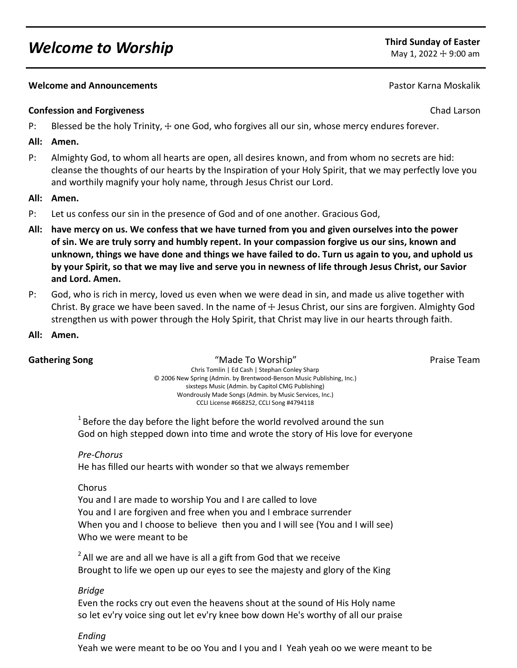# *Welcome to Worship* **Third Sunday of Easter**

### **Melcome and Announcements Pastor Karna Moskalik Pastor Karna Moskalik Pastor Karna Moskalik**

## **Confession and Forgiveness** Chad Larson Chad Larson

- P: Blessed be the holy Trinity,  $+$  one God, who forgives all our sin, whose mercy endures forever.
- **All: Amen.**
- P: Almighty God, to whom all hearts are open, all desires known, and from whom no secrets are hid: cleanse the thoughts of our hearts by the Inspiration of your Holy Spirit, that we may perfectly love you and worthily magnify your holy name, through Jesus Christ our Lord.
- **All: Amen.**
- P: Let us confess our sin in the presence of God and of one another. Gracious God,
- **All: have mercy on us. We confess that we have turned from you and given ourselves into the power of sin. We are truly sorry and humbly repent. In your compassion forgive us our sins, known and unknown, things we have done and things we have failed to do. Turn us again to you, and uphold us by your Spirit, so that we may live and serve you in newness of life through Jesus Christ, our Savior and Lord. Amen.**
- P: God, who is rich in mercy, loved us even when we were dead in sin, and made us alive together with Christ. By grace we have been saved. In the name of  $+$  Jesus Christ, our sins are forgiven. Almighty God strengthen us with power through the Holy Spirit, that Christ may live in our hearts through faith.
- **All: Amen.**

**Gathering Song The Contract Contract Contract Contract Contract Contract Contract Contract Contract Contract Contract Contract Contract Contract Contract Contract Contract Contract Contract Contract Contract Contract Cont** Chris Tomlin | Ed Cash | Stephan Conley Sharp © 2006 New Spring (Admin. by Brentwood-Benson Music Publishing, Inc.) sixsteps Music (Admin. by Capitol CMG Publishing) Wondrously Made Songs (Admin. by Music Services, Inc.) CCLI License #668252, CCLI Song #4794118

> $1$  Before the day before the light before the world revolved around the sun God on high stepped down into time and wrote the story of His love for everyone

*Pre-Chorus* He has filled our hearts with wonder so that we always remember

### Chorus

You and I are made to worship You and I are called to love You and I are forgiven and free when you and I embrace surrender When you and I choose to believe then you and I will see (You and I will see) Who we were meant to be

 $2$  All we are and all we have is all a gift from God that we receive Brought to life we open up our eyes to see the majesty and glory of the King

# *Bridge*

Even the rocks cry out even the heavens shout at the sound of His Holy name so let ev'ry voice sing out let ev'ry knee bow down He's worthy of all our praise

*Ending*

Yeah we were meant to be oo You and I you and I Yeah yeah oo we were meant to be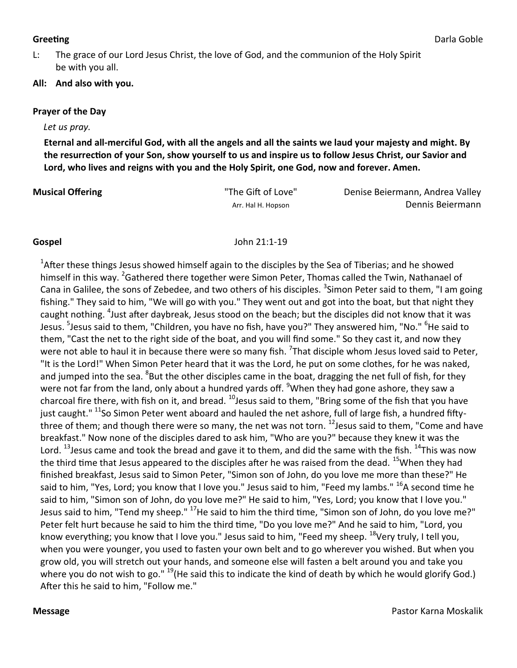- L: The grace of our Lord Jesus Christ, the love of God, and the communion of the Holy Spirit be with you all.
- **All: And also with you.**

# **Prayer of the Day**

### *Let us pray.*

**Eternal and all-merciful God, with all the angels and all the saints we laud your majesty and might. By the resurrection of your Son, show yourself to us and inspire us to follow Jesus Christ, our Savior and Lord, who lives and reigns with you and the Holy Spirit, one God, now and forever. Amen.**

**Musical Offering The Gift of Love "** The Gift of Love" Denise Beiermann, Andrea Valley Arr. Hal H. Hopson **Dennis Beiermann** 

### **Gospel** John 21:1-19

<sup>1</sup>After these things Jesus showed himself again to the disciples by the Sea of Tiberias; and he showed himself in this way. <sup>2</sup>Gathered there together were Simon Peter, Thomas called the Twin, Nathanael of Cana in Galilee, the sons of Zebedee, and two others of his disciples. <sup>3</sup>Simon Peter said to them, "I am going fishing." They said to him, "We will go with you." They went out and got into the boat, but that night they caught nothing. <sup>4</sup>Just after daybreak, Jesus stood on the beach; but the disciples did not know that it was Jesus. <sup>5</sup>Jesus said to them, "Children, you have no fish, have you?" They answered him, "No." <sup>6</sup>He said to them, "Cast the net to the right side of the boat, and you will find some." So they cast it, and now they were not able to haul it in because there were so many fish. <sup>7</sup>That disciple whom Jesus loved said to Peter, "It is the Lord!" When Simon Peter heard that it was the Lord, he put on some clothes, for he was naked, and jumped into the sea. <sup>8</sup>But the other disciples came in the boat, dragging the net full of fish, for they were not far from the land, only about a hundred yards off. <sup>9</sup>When they had gone ashore, they saw a charcoal fire there, with fish on it, and bread. <sup>10</sup>Jesus said to them, "Bring some of the fish that you have just caught." <sup>11</sup>So Simon Peter went aboard and hauled the net ashore, full of large fish, a hundred fiftythree of them; and though there were so many, the net was not torn. <sup>12</sup> Jesus said to them, "Come and have breakfast." Now none of the disciples dared to ask him, "Who are you?" because they knew it was the Lord. <sup>13</sup> Jesus came and took the bread and gave it to them, and did the same with the fish. <sup>14</sup>This was now the third time that Jesus appeared to the disciples after he was raised from the dead. <sup>15</sup>When they had finished breakfast, Jesus said to Simon Peter, "Simon son of John, do you love me more than these?" He said to him, "Yes, Lord; you know that I love you." Jesus said to him, "Feed my lambs." <sup>16</sup>A second time he said to him, "Simon son of John, do you love me?" He said to him, "Yes, Lord; you know that I love you." Jesus said to him, "Tend my sheep." <sup>17</sup>He said to him the third time, "Simon son of John, do you love me?" Peter felt hurt because he said to him the third time, "Do you love me?" And he said to him, "Lord, you know everything; you know that I love you." Jesus said to him, "Feed my sheep. <sup>18</sup>Very truly, I tell you, when you were younger, you used to fasten your own belt and to go wherever you wished. But when you grow old, you will stretch out your hands, and someone else will fasten a belt around you and take you where you do not wish to go." <sup>19</sup> (He said this to indicate the kind of death by which he would glorify God.) After this he said to him, "Follow me."

**Message** Pastor Karna Moskalik